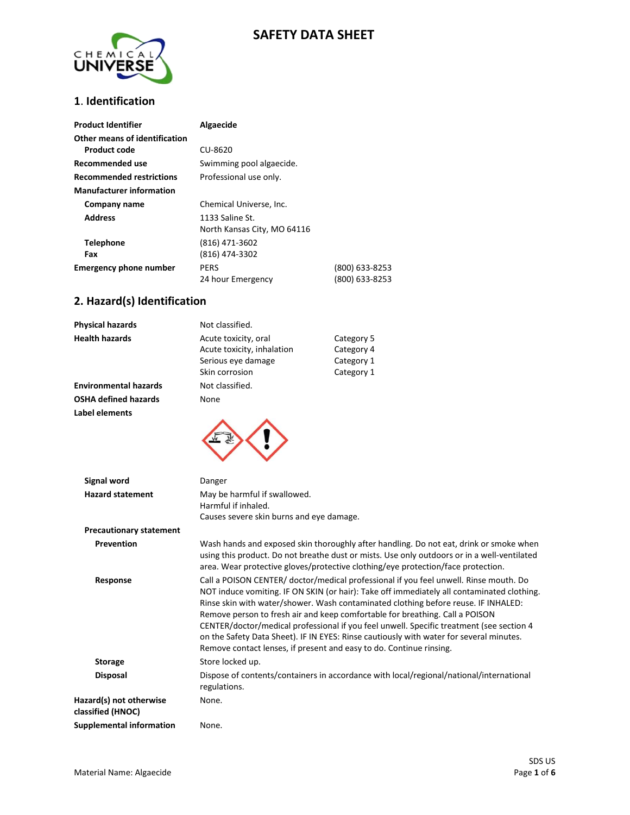## **SAFETY DATA SHEET**



#### **1**. **Identification**

| <b>Product Identifier</b>       | Algaecide                   |                |
|---------------------------------|-----------------------------|----------------|
| Other means of identification   |                             |                |
| <b>Product code</b>             | CU-8620                     |                |
| Recommended use                 | Swimming pool algaecide.    |                |
| <b>Recommended restrictions</b> | Professional use only.      |                |
| <b>Manufacturer information</b> |                             |                |
| Company name                    | Chemical Universe, Inc.     |                |
| <b>Address</b>                  | 1133 Saline St.             |                |
|                                 | North Kansas City, MO 64116 |                |
| <b>Telephone</b>                | (816) 471-3602              |                |
| Fax                             | (816) 474-3302              |                |
| <b>Emergency phone number</b>   | <b>PERS</b>                 | (800) 633-8253 |
|                                 | 24 hour Emergency           | (800) 633-8253 |

## **2. Hazard(s) Identification**

| <b>Physical hazards</b>      | Not classified.                                    |                          |
|------------------------------|----------------------------------------------------|--------------------------|
| <b>Health hazards</b>        | Acute toxicity, oral<br>Acute toxicity, inhalation | Category 5<br>Category 4 |
|                              | Serious eye damage                                 | Category 1               |
|                              | Skin corrosion                                     | Category 1               |
| <b>Environmental hazards</b> | Not classified.                                    |                          |
| <b>OSHA defined hazards</b>  | None                                               |                          |
| Label elements               |                                                    |                          |



| Signal word                                  | Danger                                                                                                                                                                                                                                                                                                                                                                                                                                                                                                                                                                                                                  |
|----------------------------------------------|-------------------------------------------------------------------------------------------------------------------------------------------------------------------------------------------------------------------------------------------------------------------------------------------------------------------------------------------------------------------------------------------------------------------------------------------------------------------------------------------------------------------------------------------------------------------------------------------------------------------------|
| <b>Hazard statement</b>                      | May be harmful if swallowed.<br>Harmful if inhaled.<br>Causes severe skin burns and eye damage.                                                                                                                                                                                                                                                                                                                                                                                                                                                                                                                         |
| <b>Precautionary statement</b>               |                                                                                                                                                                                                                                                                                                                                                                                                                                                                                                                                                                                                                         |
| Prevention                                   | Wash hands and exposed skin thoroughly after handling. Do not eat, drink or smoke when<br>using this product. Do not breathe dust or mists. Use only outdoors or in a well-ventilated<br>area. Wear protective gloves/protective clothing/eye protection/face protection.                                                                                                                                                                                                                                                                                                                                               |
| Response                                     | Call a POISON CENTER/ doctor/medical professional if you feel unwell. Rinse mouth. Do<br>NOT induce vomiting. IF ON SKIN (or hair): Take off immediately all contaminated clothing.<br>Rinse skin with water/shower. Wash contaminated clothing before reuse. IF INHALED:<br>Remove person to fresh air and keep comfortable for breathing. Call a POISON<br>CENTER/doctor/medical professional if you feel unwell. Specific treatment (see section 4<br>on the Safety Data Sheet). IF IN EYES: Rinse cautiously with water for several minutes.<br>Remove contact lenses, if present and easy to do. Continue rinsing. |
| <b>Storage</b>                               | Store locked up.                                                                                                                                                                                                                                                                                                                                                                                                                                                                                                                                                                                                        |
| <b>Disposal</b>                              | Dispose of contents/containers in accordance with local/regional/national/international<br>regulations.                                                                                                                                                                                                                                                                                                                                                                                                                                                                                                                 |
| Hazard(s) not otherwise<br>classified (HNOC) | None.                                                                                                                                                                                                                                                                                                                                                                                                                                                                                                                                                                                                                   |
| <b>Supplemental information</b>              | None.                                                                                                                                                                                                                                                                                                                                                                                                                                                                                                                                                                                                                   |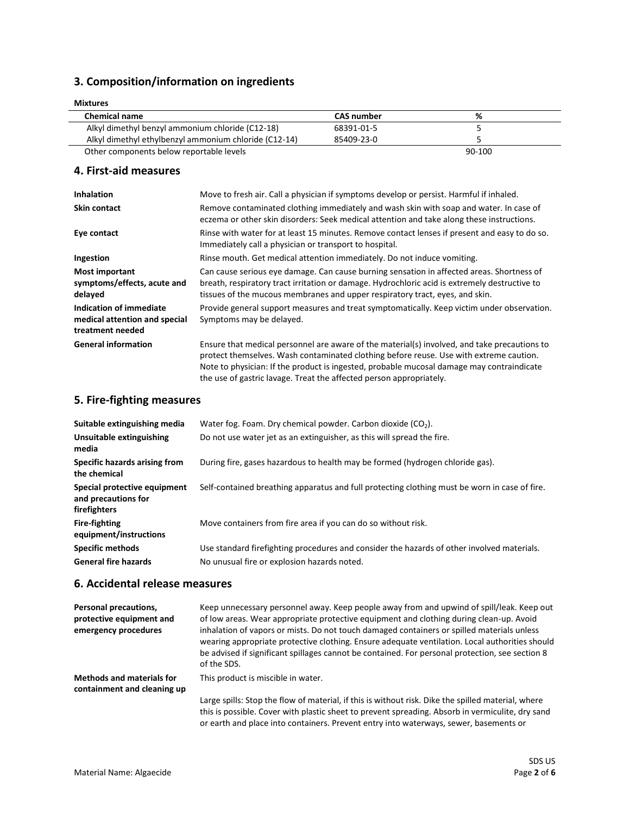## **3. Composition/information on ingredients**

| <b>Mixtures</b>                                       |                   |        |  |
|-------------------------------------------------------|-------------------|--------|--|
| <b>Chemical name</b>                                  | <b>CAS</b> number | %      |  |
| Alkyl dimethyl benzyl ammonium chloride (C12-18)      | 68391-01-5        |        |  |
| Alkyl dimethyl ethylbenzyl ammonium chloride (C12-14) | 85409-23-0        |        |  |
| Other components below reportable levels              |                   | 90-100 |  |

#### **4. First-aid measures**

| <b>Inhalation</b>                                                            | Move to fresh air. Call a physician if symptoms develop or persist. Harmful if inhaled.                                                                                                                                                                                                                                                                    |
|------------------------------------------------------------------------------|------------------------------------------------------------------------------------------------------------------------------------------------------------------------------------------------------------------------------------------------------------------------------------------------------------------------------------------------------------|
| <b>Skin contact</b>                                                          | Remove contaminated clothing immediately and wash skin with soap and water. In case of<br>eczema or other skin disorders: Seek medical attention and take along these instructions.                                                                                                                                                                        |
| Eye contact                                                                  | Rinse with water for at least 15 minutes. Remove contact lenses if present and easy to do so.<br>Immediately call a physician or transport to hospital.                                                                                                                                                                                                    |
| Ingestion                                                                    | Rinse mouth. Get medical attention immediately. Do not induce vomiting.                                                                                                                                                                                                                                                                                    |
| <b>Most important</b><br>symptoms/effects, acute and<br>delayed              | Can cause serious eye damage. Can cause burning sensation in affected areas. Shortness of<br>breath, respiratory tract irritation or damage. Hydrochloric acid is extremely destructive to<br>tissues of the mucous membranes and upper respiratory tract, eyes, and skin.                                                                                 |
| Indication of immediate<br>medical attention and special<br>treatment needed | Provide general support measures and treat symptomatically. Keep victim under observation.<br>Symptoms may be delayed.                                                                                                                                                                                                                                     |
| <b>General information</b>                                                   | Ensure that medical personnel are aware of the material(s) involved, and take precautions to<br>protect themselves. Wash contaminated clothing before reuse. Use with extreme caution.<br>Note to physician: If the product is ingested, probable mucosal damage may contraindicate<br>the use of gastric lavage. Treat the affected person appropriately. |

#### **5. Fire-fighting measures**

| Suitable extinguishing media                                        | Water fog. Foam. Dry chemical powder. Carbon dioxide $(CO2)$ .                                                                            |
|---------------------------------------------------------------------|-------------------------------------------------------------------------------------------------------------------------------------------|
| Unsuitable extinguishing<br>media                                   | Do not use water jet as an extinguisher, as this will spread the fire.                                                                    |
| Specific hazards arising from<br>the chemical                       | During fire, gases hazardous to health may be formed (hydrogen chloride gas).                                                             |
| Special protective equipment<br>and precautions for<br>firefighters | Self-contained breathing apparatus and full protecting clothing must be worn in case of fire.                                             |
| <b>Fire-fighting</b><br>equipment/instructions                      | Move containers from fire area if you can do so without risk.                                                                             |
| <b>Specific methods</b><br><b>General fire hazards</b>              | Use standard firefighting procedures and consider the hazards of other involved materials.<br>No unusual fire or explosion hazards noted. |

#### **6. Accidental release measures**

| Personal precautions,<br>protective equipment and<br>emergency procedures | Keep unnecessary personnel away. Keep people away from and upwind of spill/leak. Keep out<br>of low areas. Wear appropriate protective equipment and clothing during clean-up. Avoid<br>inhalation of vapors or mists. Do not touch damaged containers or spilled materials unless<br>wearing appropriate protective clothing. Ensure adequate ventilation. Local authorities should<br>be advised if significant spillages cannot be contained. For personal protection, see section 8<br>of the SDS. |
|---------------------------------------------------------------------------|--------------------------------------------------------------------------------------------------------------------------------------------------------------------------------------------------------------------------------------------------------------------------------------------------------------------------------------------------------------------------------------------------------------------------------------------------------------------------------------------------------|
| <b>Methods and materials for</b><br>containment and cleaning up           | This product is miscible in water.                                                                                                                                                                                                                                                                                                                                                                                                                                                                     |
|                                                                           | Large spills: Stop the flow of material, if this is without risk. Dike the spilled material, where<br>this is possible. Cover with plastic sheet to prevent spreading. Absorb in vermiculite, dry sand                                                                                                                                                                                                                                                                                                 |

or earth and place into containers. Prevent entry into waterways, sewer, basements or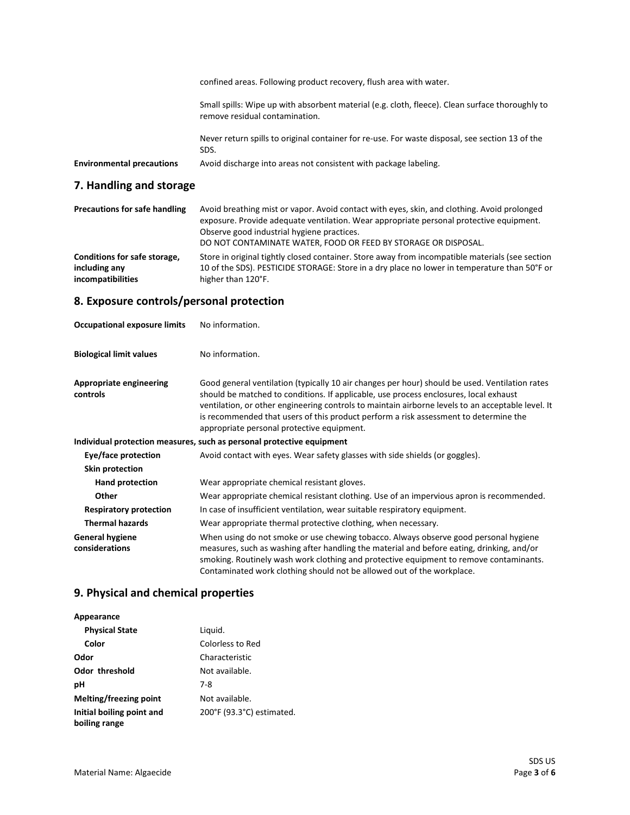|                                  | confined areas. Following product recovery, flush area with water.                                                                |  |
|----------------------------------|-----------------------------------------------------------------------------------------------------------------------------------|--|
|                                  | Small spills: Wipe up with absorbent material (e.g. cloth, fleece). Clean surface thoroughly to<br>remove residual contamination. |  |
|                                  | Never return spills to original container for re-use. For waste disposal, see section 13 of the<br>SDS.                           |  |
| <b>Environmental precautions</b> | Avoid discharge into areas not consistent with package labeling.                                                                  |  |

# **7. Handling and storage**

| <b>Precautions for safe handling</b>          | Avoid breathing mist or vapor. Avoid contact with eyes, skin, and clothing. Avoid prolonged<br>exposure. Provide adequate ventilation. Wear appropriate personal protective equipment.<br>Observe good industrial hygiene practices.<br>DO NOT CONTAMINATE WATER, FOOD OR FEED BY STORAGE OR DISPOSAL. |
|-----------------------------------------------|--------------------------------------------------------------------------------------------------------------------------------------------------------------------------------------------------------------------------------------------------------------------------------------------------------|
| Conditions for safe storage,<br>including any | Store in original tightly closed container. Store away from incompatible materials (see section<br>10 of the SDS). PESTICIDE STORAGE: Store in a dry place no lower in temperature than 50°F or                                                                                                        |
| incompatibilities                             | higher than 120°F.                                                                                                                                                                                                                                                                                     |

# **8. Exposure controls/personal protection**

| <b>Occupational exposure limits</b>        | No information.                                                                                                                                                                                                                                                                                                                                                                                                                    |
|--------------------------------------------|------------------------------------------------------------------------------------------------------------------------------------------------------------------------------------------------------------------------------------------------------------------------------------------------------------------------------------------------------------------------------------------------------------------------------------|
| <b>Biological limit values</b>             | No information.                                                                                                                                                                                                                                                                                                                                                                                                                    |
| <b>Appropriate engineering</b><br>controls | Good general ventilation (typically 10 air changes per hour) should be used. Ventilation rates<br>should be matched to conditions. If applicable, use process enclosures, local exhaust<br>ventilation, or other engineering controls to maintain airborne levels to an acceptable level. It<br>is recommended that users of this product perform a risk assessment to determine the<br>appropriate personal protective equipment. |
|                                            | Individual protection measures, such as personal protective equipment                                                                                                                                                                                                                                                                                                                                                              |
| Eye/face protection                        | Avoid contact with eyes. Wear safety glasses with side shields (or goggles).                                                                                                                                                                                                                                                                                                                                                       |
| <b>Skin protection</b>                     |                                                                                                                                                                                                                                                                                                                                                                                                                                    |
| Hand protection                            | Wear appropriate chemical resistant gloves.                                                                                                                                                                                                                                                                                                                                                                                        |
| Other                                      | Wear appropriate chemical resistant clothing. Use of an impervious apron is recommended.                                                                                                                                                                                                                                                                                                                                           |
| <b>Respiratory protection</b>              | In case of insufficient ventilation, wear suitable respiratory equipment.                                                                                                                                                                                                                                                                                                                                                          |
| <b>Thermal hazards</b>                     | Wear appropriate thermal protective clothing, when necessary.                                                                                                                                                                                                                                                                                                                                                                      |
| <b>General hygiene</b><br>considerations   | When using do not smoke or use chewing tobacco. Always observe good personal hygiene<br>measures, such as washing after handling the material and before eating, drinking, and/or<br>smoking. Routinely wash work clothing and protective equipment to remove contaminants.<br>Contaminated work clothing should not be allowed out of the workplace.                                                                              |

# **9. Physical and chemical properties**

| Liquid.                   |
|---------------------------|
| Colorless to Red          |
| Characteristic            |
| Not available.            |
| 7-8                       |
| Not available.            |
| 200°F (93.3°C) estimated. |
|                           |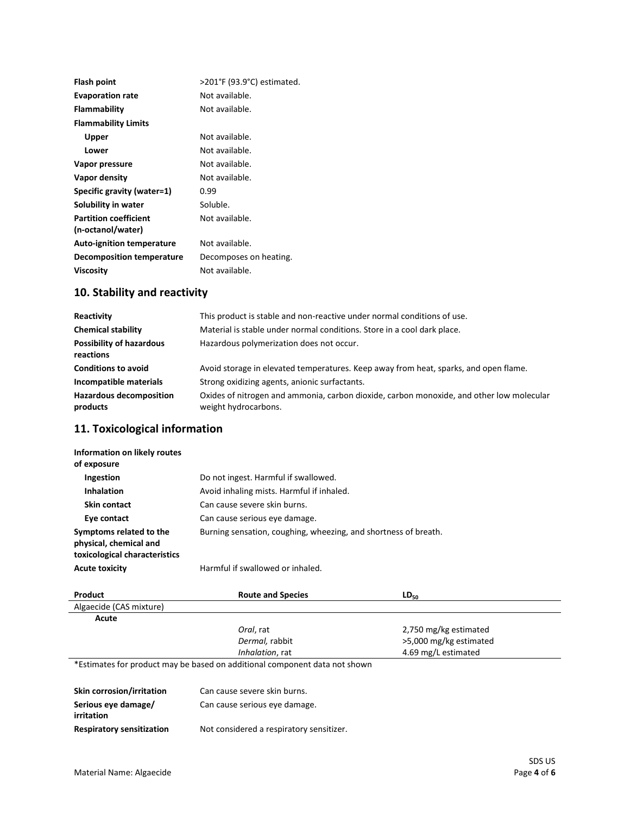| Flash point                                       | >201°F (93.9°C) estimated. |
|---------------------------------------------------|----------------------------|
| <b>Evaporation rate</b>                           | Not available.             |
| Flammability                                      | Not available.             |
| <b>Flammability Limits</b>                        |                            |
| Upper                                             | Not available.             |
| Lower                                             | Not available.             |
| Vapor pressure                                    | Not available.             |
| Vapor density                                     | Not available.             |
| Specific gravity (water=1)                        | 0.99                       |
| Solubility in water                               | Soluble.                   |
| <b>Partition coefficient</b><br>(n-octanol/water) | Not available.             |
| <b>Auto-ignition temperature</b>                  | Not available.             |
| Decomposition temperature                         | Decomposes on heating.     |
| Viscosity                                         | Not available.             |
|                                                   |                            |

# **10. Stability and reactivity**

| Reactivity                                   | This product is stable and non-reactive under normal conditions of use.                                          |
|----------------------------------------------|------------------------------------------------------------------------------------------------------------------|
| <b>Chemical stability</b>                    | Material is stable under normal conditions. Store in a cool dark place.                                          |
| <b>Possibility of hazardous</b><br>reactions | Hazardous polymerization does not occur.                                                                         |
| <b>Conditions to avoid</b>                   | Avoid storage in elevated temperatures. Keep away from heat, sparks, and open flame.                             |
| Incompatible materials                       | Strong oxidizing agents, anionic surfactants.                                                                    |
| <b>Hazardous decomposition</b><br>products   | Oxides of nitrogen and ammonia, carbon dioxide, carbon monoxide, and other low molecular<br>weight hydrocarbons. |

## **11. Toxicological information**

| Information on likely routes<br>of exposure                                        |                                                                 |
|------------------------------------------------------------------------------------|-----------------------------------------------------------------|
| Ingestion                                                                          | Do not ingest. Harmful if swallowed.                            |
| <b>Inhalation</b>                                                                  | Avoid inhaling mists. Harmful if inhaled.                       |
| <b>Skin contact</b>                                                                | Can cause severe skin burns.                                    |
| Eye contact                                                                        | Can cause serious eye damage.                                   |
| Symptoms related to the<br>physical, chemical and<br>toxicological characteristics | Burning sensation, coughing, wheezing, and shortness of breath. |
| <b>Acute toxicity</b>                                                              | Harmful if swallowed or inhaled.                                |

| Product                 | <b>Route and Species</b>                                                   | $LD_{50}$              |
|-------------------------|----------------------------------------------------------------------------|------------------------|
| Algaecide (CAS mixture) |                                                                            |                        |
| Acute                   |                                                                            |                        |
|                         | Oral. rat                                                                  | 2,750 mg/kg estimated  |
|                         | Dermal, rabbit                                                             | >5,000 mg/kg estimated |
|                         | Inhalation, rat                                                            | 4.69 mg/L estimated    |
|                         | *Estimates for product may be based on additional component data not shown |                        |

\*Estimates for product may be based on additional component data not shown

| Skin corrosion/irritation        | Can cause severe skin burns.             |
|----------------------------------|------------------------------------------|
| Serious eye damage/              | Can cause serious eye damage.            |
| irritation                       |                                          |
| <b>Respiratory sensitization</b> | Not considered a respiratory sensitizer. |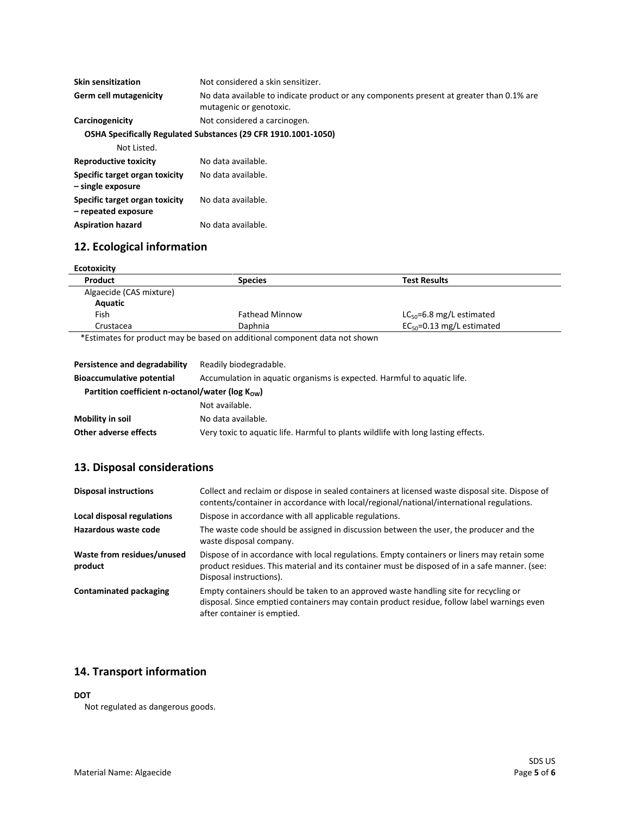| <b>Skin sensitization</b>                             | Not considered a skin sensitizer.                                                                                   |
|-------------------------------------------------------|---------------------------------------------------------------------------------------------------------------------|
| Germ cell mutagenicity                                | No data available to indicate product or any components present at greater than 0.1% are<br>mutagenic or genotoxic. |
| Carcinogenicity                                       | Not considered a carcinogen.                                                                                        |
|                                                       | OSHA Specifically Regulated Substances (29 CFR 1910.1001-1050)                                                      |
| Not Listed.                                           |                                                                                                                     |
| <b>Reproductive toxicity</b>                          | No data available.                                                                                                  |
| Specific target organ toxicity<br>- single exposure   | No data available.                                                                                                  |
| Specific target organ toxicity<br>- repeated exposure | No data available.                                                                                                  |

# **12. Ecological information**

Aspiration hazard **No data available**.

| Product                 | <b>Species</b>        | <b>Test Results</b>             |
|-------------------------|-----------------------|---------------------------------|
| Algaecide (CAS mixture) |                       |                                 |
| Aquatic                 |                       |                                 |
| Fish                    | <b>Fathead Minnow</b> | $LC_{50} = 6.8$ mg/L estimated  |
| Crustacea               | Daphnia               | $EC_{50} = 0.13$ mg/L estimated |

| Persistence and degradability                                 | Readily biodegradable.                                                            |
|---------------------------------------------------------------|-----------------------------------------------------------------------------------|
| <b>Bioaccumulative potential</b>                              | Accumulation in aquatic organisms is expected. Harmful to aquatic life.           |
| Partition coefficient n-octanol/water ( $log K_{\text{ow}}$ ) |                                                                                   |
|                                                               | Not available.                                                                    |
| Mobility in soil                                              | No data available.                                                                |
| Other adverse effects                                         | Very toxic to aquatic life. Harmful to plants wildlife with long lasting effects. |

# **13. Disposal considerations**

| <b>Disposal instructions</b>          | Collect and reclaim or dispose in sealed containers at licensed waste disposal site. Dispose of<br>contents/container in accordance with local/regional/national/international regulations.                             |
|---------------------------------------|-------------------------------------------------------------------------------------------------------------------------------------------------------------------------------------------------------------------------|
| Local disposal regulations            | Dispose in accordance with all applicable regulations.                                                                                                                                                                  |
| Hazardous waste code                  | The waste code should be assigned in discussion between the user, the producer and the<br>waste disposal company.                                                                                                       |
| Waste from residues/unused<br>product | Dispose of in accordance with local regulations. Empty containers or liners may retain some<br>product residues. This material and its container must be disposed of in a safe manner. (see:<br>Disposal instructions). |
| <b>Contaminated packaging</b>         | Empty containers should be taken to an approved waste handling site for recycling or<br>disposal. Since emptied containers may contain product residue, follow label warnings even<br>after container is emptied.       |

## **14. Transport information**

#### **DOT**

Not regulated as dangerous goods.